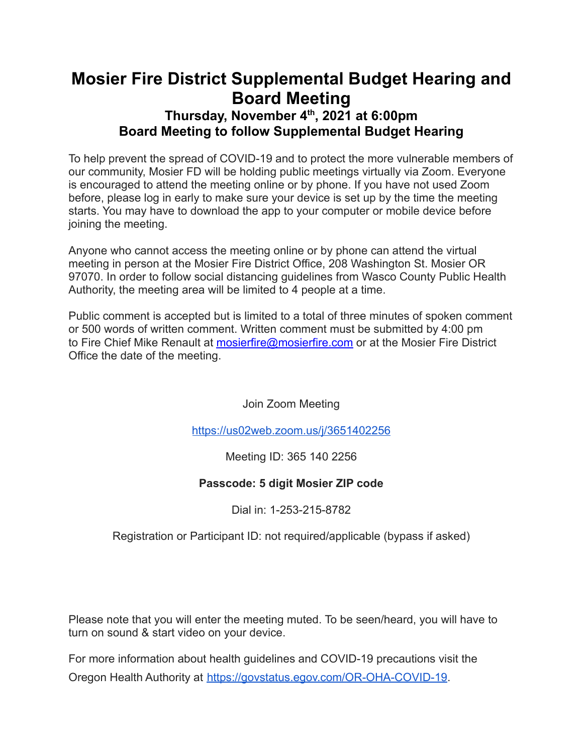# **Mosier Fire District Supplemental Budget Hearing and Board Meeting**

## **Thursday, November 4 th , 2021 at 6:00pm Board Meeting to follow Supplemental Budget Hearing**

To help prevent the spread of COVID-19 and to protect the more vulnerable members of our community, Mosier FD will be holding public meetings virtually via Zoom. Everyone is encouraged to attend the meeting online or by phone. If you have not used Zoom before, please log in early to make sure your device is set up by the time the meeting starts. You may have to download the app to your computer or mobile device before joining the meeting.

Anyone who cannot access the meeting online or by phone can attend the virtual meeting in person at the Mosier Fire District Office, 208 Washington St. Mosier OR 97070. In order to follow social distancing guidelines from Wasco County Public Health Authority, the meeting area will be limited to 4 people at a time.

Public comment is accepted but is limited to a total of three minutes of spoken comment or 500 words of written comment. Written comment must be submitted by 4:00 pm to Fire Chief Mike Renault at [mosierfire@mosierfire.com](mailto:mosierfire@mosierfire.com) or at the Mosier Fire District Office the date of the meeting.

Join Zoom Meeting

<https://us02web.zoom.us/j/3651402256>

## Meeting ID: 365 140 2256

## **Passcode: 5 digit Mosier ZIP code**

## Dial in: 1-253-215-8782

Registration or Participant ID: not required/applicable (bypass if asked)

Please note that you will enter the meeting muted. To be seen/heard, you will have to turn on sound & start video on your device.

For more information about health guidelines and COVID-19 precautions visit the Oregon Health Authority at [https://govstatus.egov.com/OR-OHA-COVID-19.](https://govstatus.egov.com/OR-OHA-COVID-19)